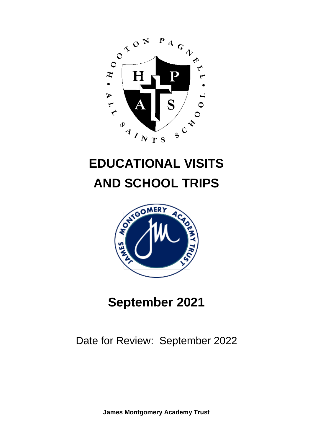

# **EDUCATIONAL VISITS AND SCHOOL TRIPS**



## **September 2021**

### Date for Review: September 2022

**James Montgomery Academy Trust**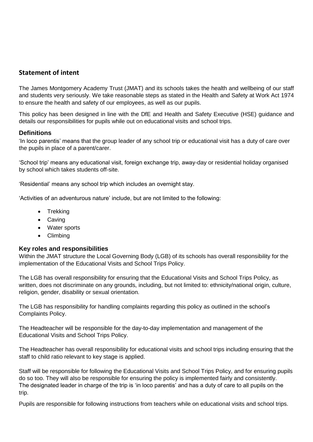#### **Statement of intent**

The James Montgomery Academy Trust (JMAT) and its schools takes the health and wellbeing of our staff and students very seriously. We take reasonable steps as stated in the Health and Safety at Work Act 1974 to ensure the health and safety of our employees, as well as our pupils.

This policy has been designed in line with the DfE and Health and Safety Executive (HSE) guidance and details our responsibilities for pupils while out on educational visits and school trips.

#### **Definitions**

'In loco parentis' means that the group leader of any school trip or educational visit has a duty of care over the pupils in place of a parent/carer.

'School trip' means any educational visit, foreign exchange trip, away-day or residential holiday organised by school which takes students off-site.

'Residential' means any school trip which includes an overnight stay.

'Activities of an adventurous nature' include, but are not limited to the following:

- Trekking
- Caving
- Water sports
- Climbing

#### **Key roles and responsibilities**

Within the JMAT structure the Local Governing Body (LGB) of its schools has overall responsibility for the implementation of the Educational Visits and School Trips Policy.

The LGB has overall responsibility for ensuring that the Educational Visits and School Trips Policy, as written, does not discriminate on any grounds, including, but not limited to: ethnicity/national origin, culture, religion, gender, disability or sexual orientation.

The LGB has responsibility for handling complaints regarding this policy as outlined in the school's Complaints Policy.

The Headteacher will be responsible for the day-to-day implementation and management of the Educational Visits and School Trips Policy.

The Headteacher has overall responsibility for educational visits and school trips including ensuring that the staff to child ratio relevant to key stage is applied.

Staff will be responsible for following the Educational Visits and School Trips Policy, and for ensuring pupils do so too. They will also be responsible for ensuring the policy is implemented fairly and consistently. The designated leader in charge of the trip is 'in loco parentis' and has a duty of care to all pupils on the trip.

Pupils are responsible for following instructions from teachers while on educational visits and school trips.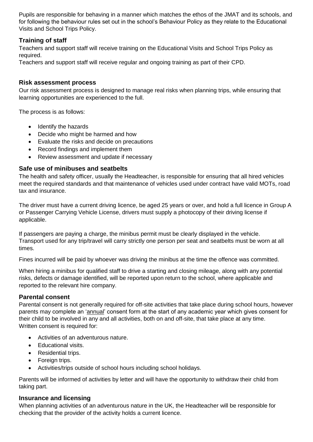Pupils are responsible for behaving in a manner which matches the ethos of the JMAT and its schools, and for following the behaviour rules set out in the school's Behaviour Policy as they relate to the Educational Visits and School Trips Policy.

#### **Training of staff**

Teachers and support staff will receive training on the Educational Visits and School Trips Policy as required.

Teachers and support staff will receive regular and ongoing training as part of their CPD.

#### **Risk assessment process**

Our risk assessment process is designed to manage real risks when planning trips, while ensuring that learning opportunities are experienced to the full.

The process is as follows:

- Identify the hazards
- Decide who might be harmed and how
- Evaluate the risks and decide on precautions
- Record findings and implement them
- Review assessment and update if necessary

#### **Safe use of minibuses and seatbelts**

The health and safety officer, usually the Headteacher, is responsible for ensuring that all hired vehicles meet the required standards and that maintenance of vehicles used under contract have valid MOTs, road tax and insurance.

The driver must have a current driving licence, be aged 25 years or over, and hold a full licence in Group A or Passenger Carrying Vehicle License, drivers must supply a photocopy of their driving license if applicable.

If passengers are paying a charge, the minibus permit must be clearly displayed in the vehicle. Transport used for any trip/travel will carry strictly one person per seat and seatbelts must be worn at all times.

Fines incurred will be paid by whoever was driving the minibus at the time the offence was committed.

When hiring a minibus for qualified staff to drive a starting and closing mileage, along with any potential risks, defects or damage identified, will be reported upon return to the school, where applicable and reported to the relevant hire company.

#### **Parental consent**

Parental consent is not generally required for off-site activities that take place during school hours, however parents may complete an ['annual'](#page-3-0) consent form at the start of any academic year which gives consent for their child to be involved in any and all activities, both on and off-site, that take place at any time. Written consent is required for:

- Activities of an adventurous nature.
- Educational visits.
- Residential trips.
- Foreign trips.
- Activities/trips outside of school hours including school holidays.

Parents will be informed of activities by letter and will have the opportunity to withdraw their child from taking part.

#### **Insurance and licensing**

When planning activities of an adventurous nature in the UK, the Headteacher will be responsible for checking that the provider of the activity holds a current licence.